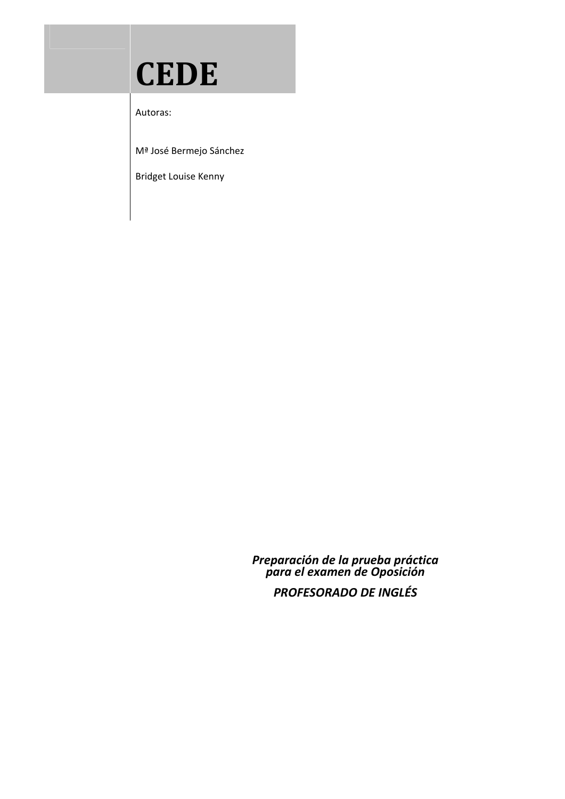## **CEDE**

Autoras:

and the state of the state of the

Mª José Bermejo Sánchez

Bridget Louise Kenny

*Preparación de la prueba práctica para el examen de Oposición*

*PROFESORADO DE INGLÉS*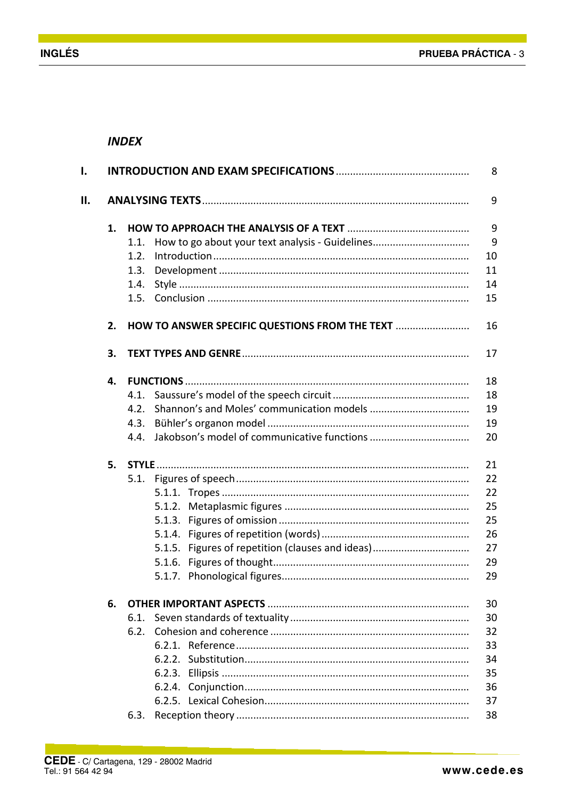## **INDEX**

| ı. |    | 8                                                       |    |  |  |  |
|----|----|---------------------------------------------------------|----|--|--|--|
| Н. |    |                                                         |    |  |  |  |
|    | 1. |                                                         | 9  |  |  |  |
|    |    | How to go about your text analysis - Guidelines<br>1.1. | 9  |  |  |  |
|    |    | 1.2.                                                    | 10 |  |  |  |
|    |    | 1.3.                                                    | 11 |  |  |  |
|    |    | 1.4.                                                    | 14 |  |  |  |
|    |    | 1.5.                                                    | 15 |  |  |  |
|    | 2. | HOW TO ANSWER SPECIFIC QUESTIONS FROM THE TEXT          | 16 |  |  |  |
|    | 3. |                                                         | 17 |  |  |  |
|    | 4. |                                                         | 18 |  |  |  |
|    |    | 4.1.                                                    | 18 |  |  |  |
|    |    | 4.2.                                                    | 19 |  |  |  |
|    |    | 4.3.                                                    | 19 |  |  |  |
|    |    | 4.4.                                                    | 20 |  |  |  |
|    | 5. |                                                         | 21 |  |  |  |
|    |    | 5.1.                                                    | 22 |  |  |  |
|    |    |                                                         | 22 |  |  |  |
|    |    |                                                         | 25 |  |  |  |
|    |    |                                                         | 25 |  |  |  |
|    |    |                                                         | 26 |  |  |  |
|    |    | 5.1.5. Figures of repetition (clauses and ideas)        | 27 |  |  |  |
|    |    |                                                         | 29 |  |  |  |
|    |    |                                                         | 29 |  |  |  |
|    | 6. |                                                         | 30 |  |  |  |
|    |    | 6.1.                                                    | 30 |  |  |  |
|    |    |                                                         | 32 |  |  |  |
|    |    |                                                         | 33 |  |  |  |
|    |    |                                                         | 34 |  |  |  |
|    |    |                                                         | 35 |  |  |  |
|    |    |                                                         | 36 |  |  |  |
|    |    |                                                         | 37 |  |  |  |
|    |    | 6.3.                                                    | 38 |  |  |  |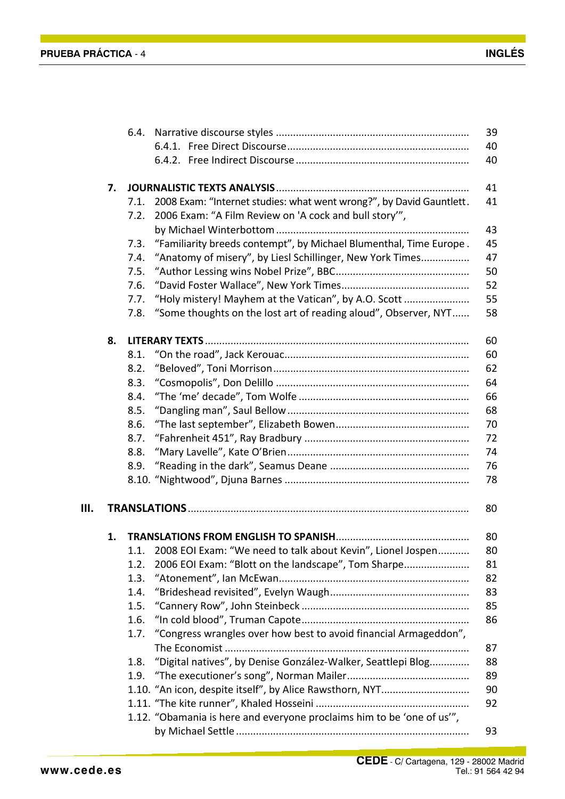|    |    | 6.4. |                                                                        | 39 |
|----|----|------|------------------------------------------------------------------------|----|
|    |    |      |                                                                        | 40 |
|    |    |      |                                                                        | 40 |
|    | 7. |      |                                                                        | 41 |
|    |    | 7.1. | 2008 Exam: "Internet studies: what went wrong?", by David Gauntlett.   | 41 |
|    |    | 7.2. | 2006 Exam: "A Film Review on 'A cock and bull story",                  |    |
|    |    |      |                                                                        | 43 |
|    |    | 7.3. | "Familiarity breeds contempt", by Michael Blumenthal, Time Europe.     | 45 |
|    |    | 7.4. | "Anatomy of misery", by Liesl Schillinger, New York Times              | 47 |
|    |    | 7.5. |                                                                        | 50 |
|    |    | 7.6. |                                                                        | 52 |
|    |    | 7.7. | "Holy mistery! Mayhem at the Vatican", by A.O. Scott                   | 55 |
|    |    | 7.8. | "Some thoughts on the lost art of reading aloud", Observer, NYT        | 58 |
|    | 8. |      |                                                                        | 60 |
|    |    | 8.1. |                                                                        | 60 |
|    |    | 8.2. |                                                                        | 62 |
|    |    | 8.3. |                                                                        | 64 |
|    |    | 8.4. |                                                                        | 66 |
|    |    | 8.5. |                                                                        | 68 |
|    |    | 8.6. |                                                                        | 70 |
|    |    | 8.7. |                                                                        | 72 |
|    |    | 8.8. |                                                                        | 74 |
|    |    | 8.9. |                                                                        | 76 |
|    |    |      |                                                                        | 78 |
| Ш. |    |      |                                                                        | 80 |
|    |    |      |                                                                        |    |
|    | 1. |      |                                                                        | 80 |
|    |    | 1.1. | 2008 EOI Exam: "We need to talk about Kevin", Lionel Jospen            | 80 |
|    |    | 1.2. | 2006 EOI Exam: "Blott on the landscape", Tom Sharpe                    | 81 |
|    |    | 1.3. |                                                                        | 82 |
|    |    | 1.4. |                                                                        | 83 |
|    |    | 1.5. |                                                                        | 85 |
|    |    | 1.6. |                                                                        | 86 |
|    |    | 1.7. | "Congress wrangles over how best to avoid financial Armageddon",       |    |
|    |    |      |                                                                        | 87 |
|    |    | 1.8. | "Digital natives", by Denise González-Walker, Seattlepi Blog           | 88 |
|    |    | 1.9. |                                                                        | 89 |
|    |    |      |                                                                        | 90 |
|    |    |      |                                                                        | 92 |
|    |    |      | 1.12. "Obamania is here and everyone proclaims him to be 'one of us'", |    |
|    |    |      |                                                                        | 93 |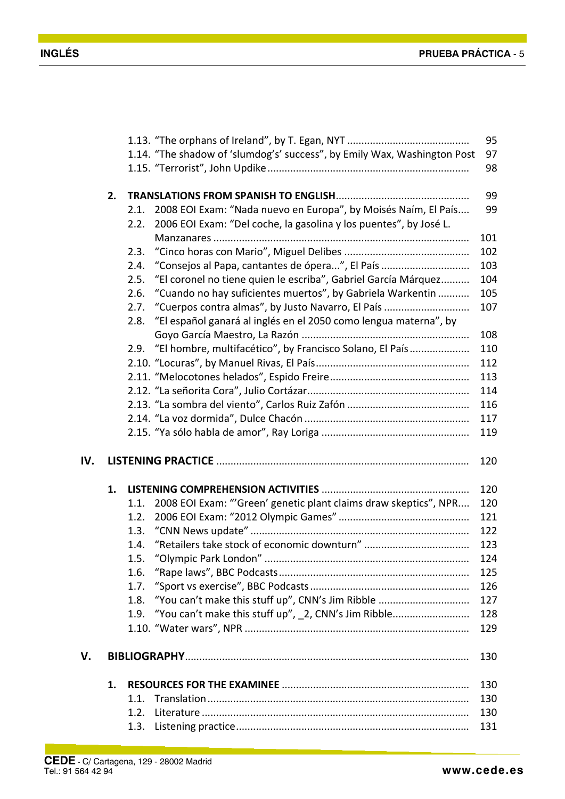|     |    |      |                                                                          | 95  |
|-----|----|------|--------------------------------------------------------------------------|-----|
|     |    |      | 1.14. "The shadow of 'slumdog's' success", by Emily Wax, Washington Post | 97  |
|     |    |      |                                                                          | 98  |
|     |    |      |                                                                          |     |
|     | 2. |      |                                                                          | 99  |
|     |    | 2.1. | 2008 EOI Exam: "Nada nuevo en Europa", by Moisés Naím, El País           | 99  |
|     |    | 2.2. | 2006 EOI Exam: "Del coche, la gasolina y los puentes", by José L.        |     |
|     |    |      |                                                                          | 101 |
|     |    | 2.3. |                                                                          | 102 |
|     |    | 2.4. | "Consejos al Papa, cantantes de ópera", El País                          | 103 |
|     |    | 2.5. | "El coronel no tiene quien le escriba", Gabriel García Márquez           | 104 |
|     |    | 2.6. | "Cuando no hay suficientes muertos", by Gabriela Warkentin               | 105 |
|     |    | 2.7. | "Cuerpos contra almas", by Justo Navarro, El País                        | 107 |
|     |    | 2.8. | "El español ganará al inglés en el 2050 como lengua materna", by         |     |
|     |    |      |                                                                          | 108 |
|     |    | 2.9. | "El hombre, multifacético", by Francisco Solano, El País                 | 110 |
|     |    |      |                                                                          | 112 |
|     |    |      |                                                                          | 113 |
|     |    |      |                                                                          | 114 |
|     |    |      |                                                                          | 116 |
|     |    |      |                                                                          | 117 |
|     |    |      |                                                                          | 119 |
|     |    |      |                                                                          |     |
| IV. |    |      |                                                                          | 120 |
|     |    |      |                                                                          |     |
|     |    |      |                                                                          |     |
|     | 1. |      |                                                                          | 120 |
|     |    | 1.1. | 2008 EOI Exam: "'Green' genetic plant claims draw skeptics", NPR         | 120 |
|     |    | 1.2. |                                                                          | 121 |
|     |    | 1.3. |                                                                          | 122 |
|     |    | 1.4. |                                                                          | 123 |
|     |    | 1.5. |                                                                          | 124 |
|     |    | 1.6. |                                                                          | 125 |
|     |    | 1.7. |                                                                          | 126 |
|     |    | 1.8. | "You can't make this stuff up", CNN's Jim Ribble                         | 127 |
|     |    | 1.9. |                                                                          | 128 |
|     |    |      | "You can't make this stuff up", _2, CNN's Jim Ribble                     | 129 |
|     |    |      |                                                                          |     |
| V.  |    |      |                                                                          | 130 |
|     |    |      |                                                                          |     |
|     | 1. |      |                                                                          | 130 |
|     |    | 1.1. |                                                                          | 130 |
|     |    | 1.2. |                                                                          | 130 |
|     |    | 1.3. |                                                                          | 131 |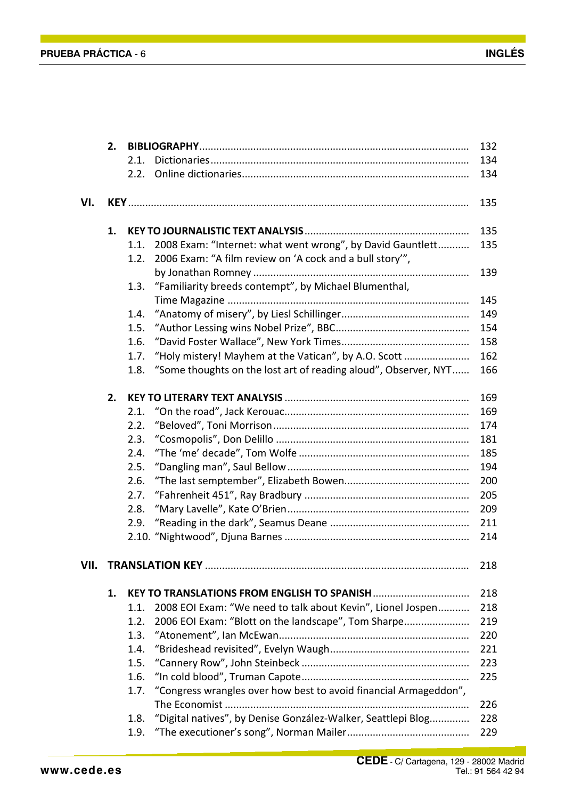|      | 2. | 132  |                                                                  |            |
|------|----|------|------------------------------------------------------------------|------------|
|      |    | 2.1. |                                                                  | 134        |
|      |    | 2.2. |                                                                  | 134        |
|      |    |      |                                                                  |            |
| VI.  |    |      |                                                                  | 135        |
|      | 1. |      |                                                                  | 135        |
|      |    | 1.1. | 2008 Exam: "Internet: what went wrong", by David Gauntlett       | 135        |
|      |    | 1.2. | 2006 Exam: "A film review on 'A cock and a bull story",          |            |
|      |    |      |                                                                  | 139        |
|      |    | 1.3. | "Familiarity breeds contempt", by Michael Blumenthal,            |            |
|      |    |      |                                                                  | 145        |
|      |    | 1.4. |                                                                  | 149        |
|      |    | 1.5. |                                                                  | 154        |
|      |    | 1.6. |                                                                  | 158        |
|      |    | 1.7. | "Holy mistery! Mayhem at the Vatican", by A.O. Scott             | 162        |
|      |    | 1.8. | "Some thoughts on the lost art of reading aloud", Observer, NYT  | 166        |
|      | 2. |      |                                                                  |            |
|      |    | 2.1. |                                                                  | 169<br>169 |
|      |    | 2.2. |                                                                  | 174        |
|      |    | 2.3. |                                                                  | 181        |
|      |    | 2.4. |                                                                  | 185        |
|      |    | 2.5. |                                                                  | 194        |
|      |    | 2.6. |                                                                  | 200        |
|      |    | 2.7. |                                                                  | 205        |
|      |    | 2.8. |                                                                  | 209        |
|      |    | 2.9. |                                                                  | 211        |
|      |    |      |                                                                  | 214        |
|      |    |      |                                                                  |            |
| VII. |    |      |                                                                  | 218        |
|      | 1. |      |                                                                  | 218        |
|      |    | 1.1. | 2008 EOI Exam: "We need to talk about Kevin", Lionel Jospen      | 218        |
|      |    | 1.2. | 2006 EOI Exam: "Blott on the landscape", Tom Sharpe              | 219        |
|      |    | 1.3. |                                                                  | 220        |
|      |    | 1.4. |                                                                  | 221        |
|      |    | 1.5. |                                                                  | 223        |
|      |    | 1.6. |                                                                  | 225        |
|      |    | 1.7. | "Congress wrangles over how best to avoid financial Armageddon", |            |
|      |    |      |                                                                  | 226        |
|      |    | 1.8. | "Digital natives", by Denise González-Walker, Seattlepi Blog     | 228        |
|      |    | 1.9. |                                                                  | 229        |
|      |    |      |                                                                  |            |